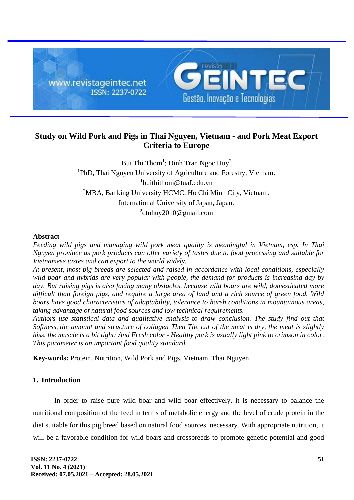

# **Study on Wild Pork and Pigs in Thai Nguyen, Vietnam - and Pork Meat Export Criteria to Europe**

Bui Thi Thom<sup>1</sup>; Dinh Tran Ngoc Huy<sup>2</sup> <sup>1</sup>PhD, Thai Nguyen University of Agriculture and Forestry, Vietnam. 1 buithithom@tuaf.edu.vn <sup>2</sup>MBA, Banking University HCMC, Ho Chi Minh City, Vietnam. International University of Japan, Japan. <sup>2</sup>dtnhuy2010@gmail.com

## **Abstract**

*Feeding wild pigs and managing wild pork meat quality is meaningful in Vietnam, esp. In Thai Nguyen province as pork products can offer variety of tastes due to food processing and suitable for Vietnamese tastes and can export to the world widely.*

*At present, most pig breeds are selected and raised in accordance with local conditions, especially wild boar and hybrids are very popular with people, the demand for products is increasing day by day. But raising pigs is also facing many obstacles, because wild boars are wild, domesticated more difficult than foreign pigs, and require a large area of land and a rich source of green food. Wild boars have good characteristics of adaptability, tolerance to harsh conditions in mountainous areas, taking advantage of natural food sources and low technical requirements.*

*Authors use statistical data and qualitative analysis to draw conclusion. The study find out that Softness, the amount and structure of collagen Then The cut of the meat is dry, the meat is slightly hiss, the muscle is a bit tight; And Fresh color - Healthy pork is usually light pink to crimson in color. This parameter is an important food quality standard.*

**Key-words:** Protein, Nutrition, Wild Pork and Pigs, Vietnam, Thai Nguyen.

## **1. Introduction**

In order to raise pure wild boar and wild boar effectively, it is necessary to balance the nutritional composition of the feed in terms of metabolic energy and the level of crude protein in the diet suitable for this pig breed based on natural food sources. necessary. With appropriate nutrition, it will be a favorable condition for wild boars and crossbreeds to promote genetic potential and good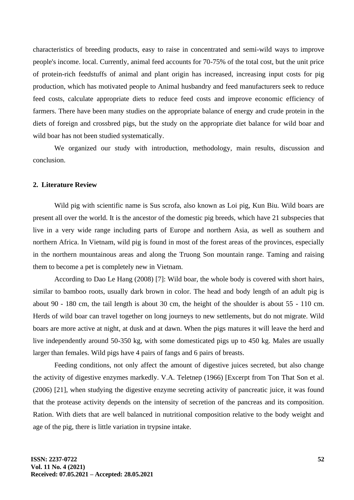characteristics of breeding products, easy to raise in concentrated and semi-wild ways to improve people's income. local. Currently, animal feed accounts for 70-75% of the total cost, but the unit price of protein-rich feedstuffs of animal and plant origin has increased, increasing input costs for pig production, which has motivated people to Animal husbandry and feed manufacturers seek to reduce feed costs, calculate appropriate diets to reduce feed costs and improve economic efficiency of farmers. There have been many studies on the appropriate balance of energy and crude protein in the diets of foreign and crossbred pigs, but the study on the appropriate diet balance for wild boar and wild boar has not been studied systematically.

We organized our study with introduction, methodology, main results, discussion and conclusion.

## **2. Literature Review**

Wild pig with scientific name is Sus scrofa, also known as Loi pig, Kun Biu. Wild boars are present all over the world. It is the ancestor of the domestic pig breeds, which have 21 subspecies that live in a very wide range including parts of Europe and northern Asia, as well as southern and northern Africa. In Vietnam, wild pig is found in most of the forest areas of the provinces, especially in the northern mountainous areas and along the Truong Son mountain range. Taming and raising them to become a pet is completely new in Vietnam.

According to Dao Le Hang (2008) [7]: Wild boar, the whole body is covered with short hairs, similar to bamboo roots, usually dark brown in color. The head and body length of an adult pig is about 90 - 180 cm, the tail length is about 30 cm, the height of the shoulder is about 55 - 110 cm. Herds of wild boar can travel together on long journeys to new settlements, but do not migrate. Wild boars are more active at night, at dusk and at dawn. When the pigs matures it will leave the herd and live independently around 50-350 kg, with some domesticated pigs up to 450 kg. Males are usually larger than females. Wild pigs have 4 pairs of fangs and 6 pairs of breasts.

Feeding conditions, not only affect the amount of digestive juices secreted, but also change the activity of digestive enzymes markedly. V.A. Teletnep (1966) [Excerpt from Ton That Son et al. (2006) [21], when studying the digestive enzyme secreting activity of pancreatic juice, it was found that the protease activity depends on the intensity of secretion of the pancreas and its composition. Ration. With diets that are well balanced in nutritional composition relative to the body weight and age of the pig, there is little variation in trypsine intake.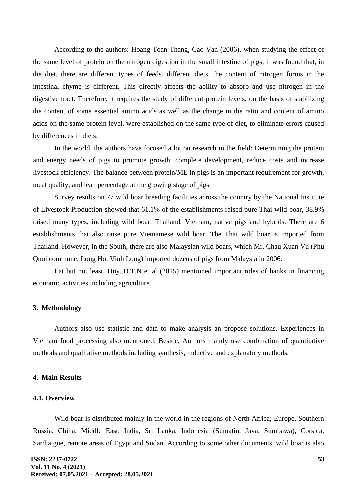According to the authors: Hoang Toan Thang, Cao Van (2006), when studying the effect of the same level of protein on the nitrogen digestion in the small intestine of pigs, it was found that, in the diet, there are different types of feeds. different diets, the content of nitrogen forms in the intestinal chyme is different. This directly affects the ability to absorb and use nitrogen in the digestive tract. Therefore, it requires the study of different protein levels, on the basis of stabilizing the content of some essential amino acids as well as the change in the ratio and content of amino acids on the same protein level. were established on the same type of diet, to eliminate errors caused by differences in diets.

In the world, the authors have focused a lot on research in the field: Determining the protein and energy needs of pigs to promote growth, complete development, reduce costs and increase livestock efficiency. The balance between protein/ME in pigs is an important requirement for growth, meat quality, and lean percentage at the growing stage of pigs.

Survey results on 77 wild boar breeding facilities across the country by the National Institute of Livestock Production showed that 61.1% of the establishments raised pure Thai wild boar, 38.9% raised many types, including wild boar. Thailand, Vietnam, native pigs and hybrids. There are 6 establishments that also raise pure Vietnamese wild boar. The Thai wild boar is imported from Thailand. However, in the South, there are also Malaysian wild boars, which Mr. Chau Xuan Vu (Phu Quoi commune, Long Ho, Vinh Long) imported dozens of pigs from Malaysia in 2006.

Lat but not least, Huy,.D.T.N et al (2015) mentioned important roles of banks in financing economic activities including agriculture.

## **3. Methodology**

Authors also use statistic and data to make analysis an propose solutions. Experiences in Vietnam food processing also mentioned. Beside, Authors mainly use combination of quantitative methods and qualitative methods including synthesis, inductive and explanatory methods.

## **4. Main Results**

#### **4.1. Overview**

Wild boar is distributed mainly in the world in the regions of North Africa; Europe, Southern Russia, China, Middle East, India, Sri Lanka, Indonesia (Sumatin, Java, Sumbawa), Corsica, Sardiaigue, remote areas of Egypt and Sudan. According to some other documents, wild boar is also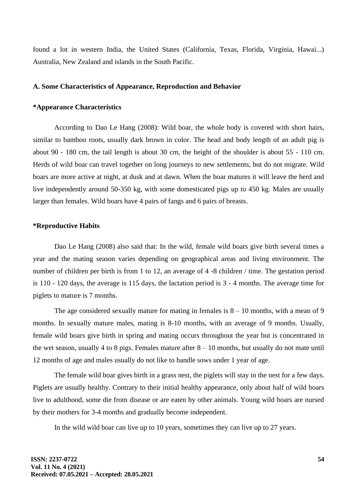found a lot in western India, the United States (California, Texas, Florida, Virginia, Hawai...) Australia, New Zealand and islands in the South Pacific.

### **A. Some Characteristics of Appearance, Reproduction and Behavior**

## **\*Appearance Characteristics**

According to Dao Le Hang (2008): Wild boar, the whole body is covered with short hairs, similar to bamboo roots, usually dark brown in color. The head and body length of an adult pig is about 90 - 180 cm, the tail length is about 30 cm, the height of the shoulder is about 55 - 110 cm. Herds of wild boar can travel together on long journeys to new settlements, but do not migrate. Wild boars are more active at night, at dusk and at dawn. When the boar matures it will leave the herd and live independently around 50-350 kg, with some domesticated pigs up to 450 kg. Males are usually larger than females. Wild boars have 4 pairs of fangs and 6 pairs of breasts.

#### **\*Reproductive Habits**

Dao Le Hang (2008) also said that: In the wild, female wild boars give birth several times a year and the mating season varies depending on geographical areas and living environment. The number of children per birth is from 1 to 12, an average of 4 -8 children / time. The gestation period is 110 - 120 days, the average is 115 days, the lactation period is 3 - 4 months. The average time for piglets to mature is 7 months.

The age considered sexually mature for mating in females is  $8 - 10$  months, with a mean of 9 months. In sexually mature males, mating is 8-10 months, with an average of 9 months. Usually, female wild boars give birth in spring and mating occurs throughout the year but is concentrated in the wet season, usually 4 to 8 pigs. Females mature after  $8 - 10$  months, but usually do not mate until 12 months of age and males usually do not like to handle sows under 1 year of age.

The female wild boar gives birth in a grass nest, the piglets will stay in the nest for a few days. Piglets are usually healthy. Contrary to their initial healthy appearance, only about half of wild boars live to adulthood, some die from disease or are eaten by other animals. Young wild boars are nursed by their mothers for 3-4 months and gradually become independent.

In the wild wild boar can live up to 10 years, sometimes they can live up to 27 years.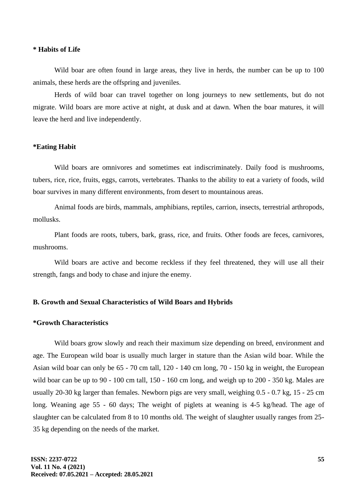## **\* Habits of Life**

Wild boar are often found in large areas, they live in herds, the number can be up to 100 animals, these herds are the offspring and juveniles.

Herds of wild boar can travel together on long journeys to new settlements, but do not migrate. Wild boars are more active at night, at dusk and at dawn. When the boar matures, it will leave the herd and live independently.

#### **\*Eating Habit**

Wild boars are omnivores and sometimes eat indiscriminately. Daily food is mushrooms, tubers, rice, rice, fruits, eggs, carrots, vertebrates. Thanks to the ability to eat a variety of foods, wild boar survives in many different environments, from desert to mountainous areas.

Animal foods are birds, mammals, amphibians, reptiles, carrion, insects, terrestrial arthropods, mollusks.

Plant foods are roots, tubers, bark, grass, rice, and fruits. Other foods are feces, carnivores, mushrooms.

Wild boars are active and become reckless if they feel threatened, they will use all their strength, fangs and body to chase and injure the enemy.

## **B. Growth and Sexual Characteristics of Wild Boars and Hybrids**

### **\*Growth Characteristics**

Wild boars grow slowly and reach their maximum size depending on breed, environment and age. The European wild boar is usually much larger in stature than the Asian wild boar. While the Asian wild boar can only be 65 - 70 cm tall, 120 - 140 cm long, 70 - 150 kg in weight, the European wild boar can be up to 90 - 100 cm tall, 150 - 160 cm long, and weigh up to 200 - 350 kg. Males are usually 20-30 kg larger than females. Newborn pigs are very small, weighing 0.5 - 0.7 kg, 15 - 25 cm long. Weaning age 55 - 60 days; The weight of piglets at weaning is 4-5 kg/head. The age of slaughter can be calculated from 8 to 10 months old. The weight of slaughter usually ranges from 25- 35 kg depending on the needs of the market.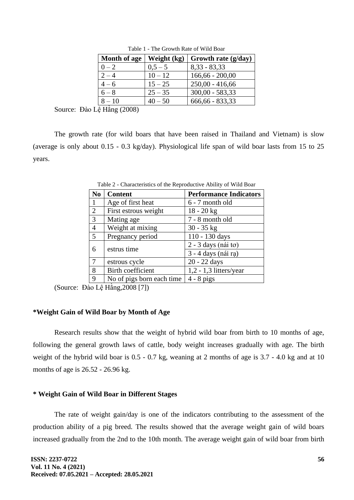| Month of age | Weight (kg) | Growth rate (g/day) |
|--------------|-------------|---------------------|
| $0 - 2$      | $0.5 - 5$   | $8,33 - 83,33$      |
| $2 - 4$      | $10 - 12$   | $166,66 - 200,00$   |
| $4 - 6$      | $15 - 25$   | $250,00 - 416,66$   |
| $6 - 8$      | $25 - 35$   | $300,00 - 583,33$   |
| $8 - 10$     | $40 - 50$   | 666,66 - 833,33     |

Table 1 - The Growth Rate of Wild Boar

Source: Đào Lệ Hằng (2008)

The growth rate (for wild boars that have been raised in Thailand and Vietnam) is slow (average is only about 0.15 - 0.3 kg/day). Physiological life span of wild boar lasts from 15 to 25 years.

| N <sub>0</sub> | <b>Content</b>            | <b>Performance Indicators</b> |
|----------------|---------------------------|-------------------------------|
| 1              | Age of first heat         | 6 - 7 month old               |
| $\overline{2}$ | First estrous weight      | $18 - 20$ kg                  |
| $\overline{3}$ | Mating age                | 7 - 8 month old               |
| 4              | Weight at mixing          | $30 - 35$ kg                  |
| 5              | Pregnancy period          | 110 - 130 days                |
| 6              | estrus time               | $2 - 3$ days (nái to)         |
|                |                           | 3 - 4 days (nái rạ)           |
| $\tau$         | estrous cycle             | 20 - 22 days                  |
| 8              | <b>Birth coefficient</b>  | $1,2 - 1,3$ litters/year      |
| 9              | No of pigs born each time | $4 - 8$ pigs                  |

Table 2 - Characteristics of the Reproductive Ability of Wild Boar

(Source: Đào Lệ Hằng,2008 [7])

## **\*Weight Gain of Wild Boar by Month of Age**

Research results show that the weight of hybrid wild boar from birth to 10 months of age, following the general growth laws of cattle, body weight increases gradually with age. The birth weight of the hybrid wild boar is 0.5 - 0.7 kg, weaning at 2 months of age is 3.7 - 4.0 kg and at 10 months of age is 26.52 - 26.96 kg.

## **\* Weight Gain of Wild Boar in Different Stages**

The rate of weight gain/day is one of the indicators contributing to the assessment of the production ability of a pig breed. The results showed that the average weight gain of wild boars increased gradually from the 2nd to the 10th month. The average weight gain of wild boar from birth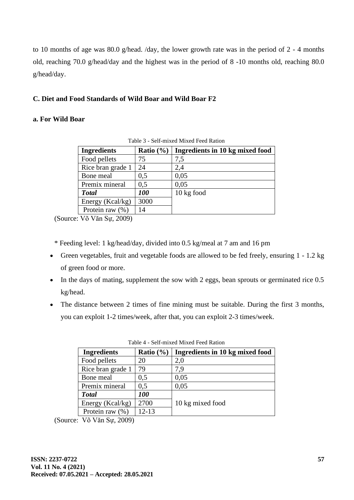to 10 months of age was 80.0 g/head. /day, the lower growth rate was in the period of 2 - 4 months old, reaching 70.0 g/head/day and the highest was in the period of 8 -10 months old, reaching 80.0 g/head/day.

## **C. Diet and Food Standards of Wild Boar and Wild Boar F2**

## **a. For Wild Boar**

| <b>Ingredients</b>  | Ratio $(\% )$ | Ingredients in 10 kg mixed food |  |  |
|---------------------|---------------|---------------------------------|--|--|
| Food pellets        | 75            | 7,5                             |  |  |
| Rice bran grade 1   | 24            | 2,4                             |  |  |
| Bone meal           | 0,5           | 0,05                            |  |  |
| Premix mineral      | 0.5           | 0.05                            |  |  |
| <b>Total</b>        | <b>100</b>    | $10 \text{ kg}$ food            |  |  |
| Energy (Kcal/kg)    | 3000          |                                 |  |  |
| Protein raw $(\% )$ | 14            |                                 |  |  |

Table 3 - Self-mixed Mixed Feed Ration

(Source: Võ Văn Sự, 2009)

\* Feeding level: 1 kg/head/day, divided into 0.5 kg/meal at 7 am and 16 pm

- Green vegetables, fruit and vegetable foods are allowed to be fed freely, ensuring 1 1.2 kg of green food or more.
- In the days of mating, supplement the sow with 2 eggs, bean sprouts or germinated rice 0.5 kg/head.
- The distance between 2 times of fine mining must be suitable. During the first 3 months, you can exploit 1-2 times/week, after that, you can exploit 2-3 times/week.

| <b>Ingredients</b>                                                | Ratio $(\% )$     | Ingredients in 10 kg mixed food |
|-------------------------------------------------------------------|-------------------|---------------------------------|
| Food pellets                                                      | 20                | 2,0                             |
| Rice bran grade 1                                                 | 79                | 7.9                             |
| Bone meal                                                         | 0.5               | 0,05                            |
| Premix mineral                                                    | 0,5               | 0,05                            |
| <b>Total</b>                                                      | <i><b>100</b></i> |                                 |
| Energy (Kcal/kg)                                                  | 2700              | 10 kg mixed food                |
| Protein raw $(\% )$                                               | $12 - 13$         |                                 |
| $\mathbf{v}$ $\mathbf{v}$ $\mathbf{v}$ $\alpha$ $\alpha$ $\alpha$ |                   |                                 |

Table 4 - Self-mixed Mixed Feed Ration

(Source: Võ Văn Sự, 2009)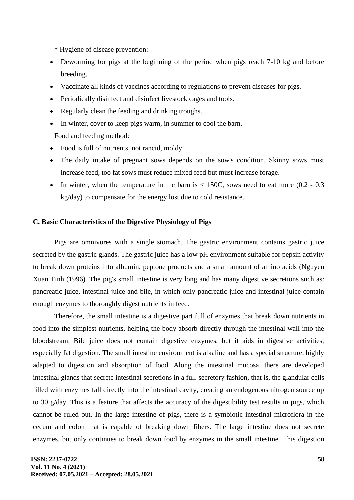\* Hygiene of disease prevention:

- Deworming for pigs at the beginning of the period when pigs reach 7-10 kg and before breeding.
- Vaccinate all kinds of vaccines according to regulations to prevent diseases for pigs.
- Periodically disinfect and disinfect livestock cages and tools.
- Regularly clean the feeding and drinking troughs.
- In winter, cover to keep pigs warm, in summer to cool the barn.

Food and feeding method:

- Food is full of nutrients, not rancid, moldy.
- The daily intake of pregnant sows depends on the sow's condition. Skinny sows must increase feed, too fat sows must reduce mixed feed but must increase forage.
- In winter, when the temperature in the barn is  $<$  150C, sows need to eat more (0.2 0.3) kg/day) to compensate for the energy lost due to cold resistance.

## **C. Basic Characteristics of the Digestive Physiology of Pigs**

Pigs are omnivores with a single stomach. The gastric environment contains gastric juice secreted by the gastric glands. The gastric juice has a low pH environment suitable for pepsin activity to break down proteins into albumin, peptone products and a small amount of amino acids (Nguyen Xuan Tinh (1996). The pig's small intestine is very long and has many digestive secretions such as: pancreatic juice, intestinal juice and bile, in which only pancreatic juice and intestinal juice contain enough enzymes to thoroughly digest nutrients in feed.

Therefore, the small intestine is a digestive part full of enzymes that break down nutrients in food into the simplest nutrients, helping the body absorb directly through the intestinal wall into the bloodstream. Bile juice does not contain digestive enzymes, but it aids in digestive activities, especially fat digestion. The small intestine environment is alkaline and has a special structure, highly adapted to digestion and absorption of food. Along the intestinal mucosa, there are developed intestinal glands that secrete intestinal secretions in a full-secretory fashion, that is, the glandular cells filled with enzymes fall directly into the intestinal cavity, creating an endogenous nitrogen source up to 30 g/day. This is a feature that affects the accuracy of the digestibility test results in pigs, which cannot be ruled out. In the large intestine of pigs, there is a symbiotic intestinal microflora in the cecum and colon that is capable of breaking down fibers. The large intestine does not secrete enzymes, but only continues to break down food by enzymes in the small intestine. This digestion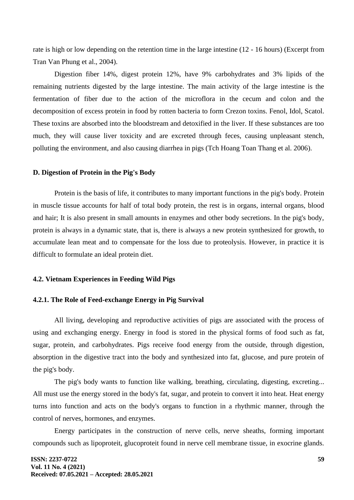rate is high or low depending on the retention time in the large intestine (12 - 16 hours) (Excerpt from Tran Van Phung et al., 2004).

Digestion fiber 14%, digest protein 12%, have 9% carbohydrates and 3% lipids of the remaining nutrients digested by the large intestine. The main activity of the large intestine is the fermentation of fiber due to the action of the microflora in the cecum and colon and the decomposition of excess protein in food by rotten bacteria to form Crezon toxins. Fenol, Idol, Scatol. These toxins are absorbed into the bloodstream and detoxified in the liver. If these substances are too much, they will cause liver toxicity and are excreted through feces, causing unpleasant stench, polluting the environment, and also causing diarrhea in pigs (Tch Hoang Toan Thang et al. 2006).

### **D. Digestion of Protein in the Pig's Body**

Protein is the basis of life, it contributes to many important functions in the pig's body. Protein in muscle tissue accounts for half of total body protein, the rest is in organs, internal organs, blood and hair; It is also present in small amounts in enzymes and other body secretions. In the pig's body, protein is always in a dynamic state, that is, there is always a new protein synthesized for growth, to accumulate lean meat and to compensate for the loss due to proteolysis. However, in practice it is difficult to formulate an ideal protein diet.

#### **4.2. Vietnam Experiences in Feeding Wild Pigs**

### **4.2.1. The Role of Feed-exchange Energy in Pig Survival**

All living, developing and reproductive activities of pigs are associated with the process of using and exchanging energy. Energy in food is stored in the physical forms of food such as fat, sugar, protein, and carbohydrates. Pigs receive food energy from the outside, through digestion, absorption in the digestive tract into the body and synthesized into fat, glucose, and pure protein of the pig's body.

The pig's body wants to function like walking, breathing, circulating, digesting, excreting... All must use the energy stored in the body's fat, sugar, and protein to convert it into heat. Heat energy turns into function and acts on the body's organs to function in a rhythmic manner, through the control of nerves, hormones, and enzymes.

Energy participates in the construction of nerve cells, nerve sheaths, forming important compounds such as lipoproteit, glucoproteit found in nerve cell membrane tissue, in exocrine glands.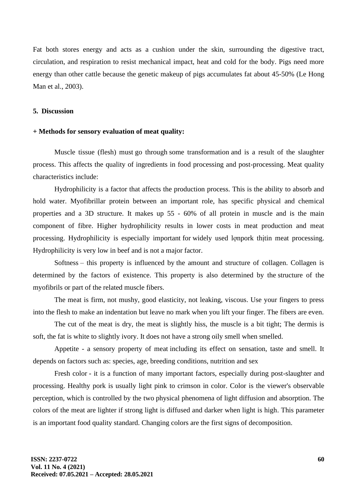Fat both stores energy and acts as a cushion under the skin, surrounding the digestive tract, circulation, and respiration to resist mechanical impact, heat and cold for the body. Pigs need more energy than other cattle because the genetic makeup of pigs accumulates fat about 45-50% (Le Hong Man et al., 2003).

## **5. Discussion**

#### **+ Methods for sensory evaluation of meat quality:**

Muscle tissue (flesh) must go through some transformation and is a result of the slaughter process. This affects the quality of ingredients in food processing and post-processing. Meat quality characteristics include:

Hydrophilicity is a factor that affects the production process. This is the ability to absorb and hold water. Myofibrillar protein between an important role, has specific physical and chemical properties and a 3D structure. It makes up 55 - 60% of all protein in muscle and is the main component of fibre. Higher hydrophilicity results in lower costs in meat production and meat processing. Hydrophilicity is especially important for widely used lợnpork thịtin meat processing. Hydrophilicity is very low in beef and is not a major factor.

Softness – this property is influenced by the amount and structure of collagen. Collagen is determined by the factors of existence. This property is also determined by the structure of the myofibrils or part of the related muscle fibers.

The meat is firm, not mushy, good elasticity, not leaking, viscous. Use your fingers to press into the flesh to make an indentation but leave no mark when you lift your finger. The fibers are even.

The cut of the meat is dry, the meat is slightly hiss, the muscle is a bit tight; The dermis is soft, the fat is white to slightly ivory. It does not have a strong oily smell when smelled.

Appetite - a sensory property of meat including its effect on sensation, taste and smell. It depends on factors such as: species, age, breeding conditions, nutrition and sex

Fresh color - it is a function of many important factors, especially during post-slaughter and processing. Healthy pork is usually light pink to crimson in color. Color is the viewer's observable perception, which is controlled by the two physical phenomena of light diffusion and absorption. The colors of the meat are lighter if strong light is diffused and darker when light is high. This parameter is an important food quality standard. Changing colors are the first signs of decomposition.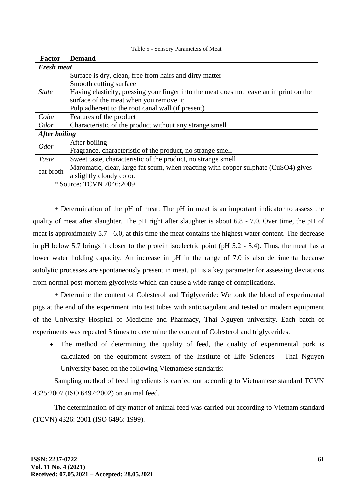| <b>Factor</b>        | <b>Demand</b>                                                                          |  |
|----------------------|----------------------------------------------------------------------------------------|--|
| <b>Fresh meat</b>    |                                                                                        |  |
| <i>State</i>         | Surface is dry, clean, free from hairs and dirty matter                                |  |
|                      | Smooth cutting surface                                                                 |  |
|                      | Having elasticity, pressing your finger into the meat does not leave an imprint on the |  |
|                      | surface of the meat when you remove it;                                                |  |
|                      | Pulp adherent to the root canal wall (if present)                                      |  |
| Color                | Features of the product                                                                |  |
| <b>Odor</b>          | Characteristic of the product without any strange smell                                |  |
| <b>After boiling</b> |                                                                                        |  |
| <b>Odor</b>          | After boiling                                                                          |  |
|                      | Fragrance, characteristic of the product, no strange smell                             |  |
| Taste                | Sweet taste, characteristic of the product, no strange smell                           |  |
| eat broth            | Maromatic, clear, large fat scum, when reacting with copper sulphate (CuSO4) gives     |  |
|                      | a slightly cloudy color.                                                               |  |

Table 5 - Sensory Parameters of Meat

\* Source: TCVN 7046:2009

+ Determination of the pH of meat: The pH in meat is an important indicator to assess the quality of meat after slaughter. The pH right after slaughter is about 6.8 - 7.0. Over time, the pH of meat is approximately 5.7 - 6.0, at this time the meat contains the highest water content. The decrease in pH below 5.7 brings it closer to the protein isoelectric point (pH 5.2 - 5.4). Thus, the meat has a lower water holding capacity. An increase in pH in the range of 7.0 is also detrimental because autolytic processes are spontaneously present in meat. pH is a key parameter for assessing deviations from normal post-mortem glycolysis which can cause a wide range of complications.

+ Determine the content of Colesterol and Triglyceride: We took the blood of experimental pigs at the end of the experiment into test tubes with anticoagulant and tested on modern equipment of the University Hospital of Medicine and Pharmacy, Thai Nguyen university. Each batch of experiments was repeated 3 times to determine the content of Colesterol and triglycerides.

• The method of determining the quality of feed, the quality of experimental pork is calculated on the equipment system of the Institute of Life Sciences - Thai Nguyen University based on the following Vietnamese standards:

Sampling method of feed ingredients is carried out according to Vietnamese standard TCVN 4325:2007 (ISO 6497:2002) on animal feed.

The determination of dry matter of animal feed was carried out according to Vietnam standard (TCVN) 4326: 2001 (ISO 6496: 1999).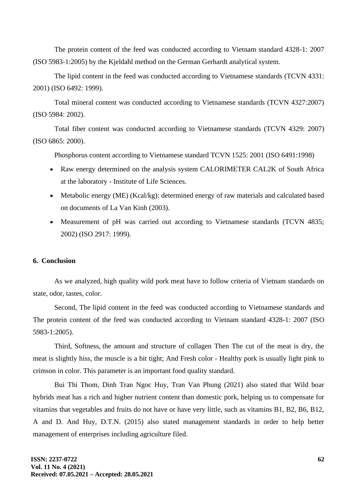The protein content of the feed was conducted according to Vietnam standard 4328-1: 2007 (ISO 5983-1:2005) by the Kjeldahl method on the German Gerhardt analytical system.

The lipid content in the feed was conducted according to Vietnamese standards (TCVN 4331: 2001) (ISO 6492: 1999).

Total mineral content was conducted according to Vietnamese standards (TCVN 4327:2007) (ISO 5984: 2002).

Total fiber content was conducted according to Vietnamese standards (TCVN 4329: 2007) (ISO 6865: 2000).

Phosphorus content according to Vietnamese standard TCVN 1525: 2001 (ISO 6491:1998)

- Raw energy determined on the analysis system CALORIMETER CAL2K of South Africa at the laboratory - Institute of Life Sciences.
- Metabolic energy (ME) (Kcal/kg): determined energy of raw materials and calculated based on documents of La Van Kinh (2003).
- Measurement of pH was carried out according to Vietnamese standards (TCVN 4835; 2002) (ISO 2917: 1999).

## **6. Conclusion**

As we analyzed, high quality wild pork meat have to follow criteria of Vietnam standards on state, odor, tastes, color.

Second, The lipid content in the feed was conducted according to Vietnamese standards and The protein content of the feed was conducted according to Vietnam standard 4328-1: 2007 (ISO 5983-1:2005).

Third, Softness, the amount and structure of collagen Then The cut of the meat is dry, the meat is slightly hiss, the muscle is a bit tight; And Fresh color - Healthy pork is usually light pink to crimson in color. This parameter is an important food quality standard.

Bui Thi Thom, Dinh Tran Ngoc Huy, Tran Van Phung (2021) also stated that Wild boar hybrids meat has a rich and higher nutrient content than domestic pork, helping us to compensate for vitamins that vegetables and fruits do not have or have very little, such as vitamins B1, B2, B6, B12, A and D. And Huy, D.T.N. (2015) also stated management standards in order to help better management of enterprises including agriculture filed.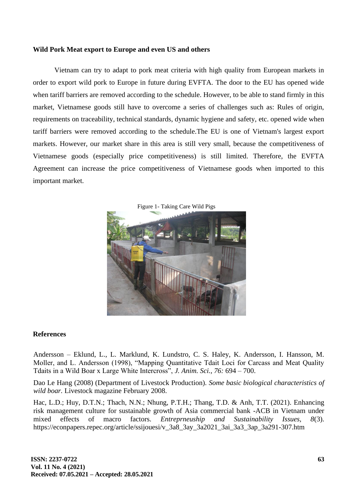## **Wild Pork Meat export to Europe and even US and others**

Vietnam can try to adapt to pork meat criteria with high quality from European markets in order to export wild pork to Europe in future during EVFTA. The door to the EU has opened wide when tariff barriers are removed according to the schedule. However, to be able to stand firmly in this market, Vietnamese goods still have to overcome a series of challenges such as: Rules of origin, requirements on traceability, technical standards, dynamic hygiene and safety, etc. opened wide when tariff barriers were removed according to the schedule.The EU is one of Vietnam's largest export markets. However, our market share in this area is still very small, because the competitiveness of Vietnamese goods (especially price competitiveness) is still limited. Therefore, the EVFTA Agreement can increase the price competitiveness of Vietnamese goods when imported to this important market.



## **References**

Andersson – Eklund, L., L. Marklund, K. Lundstro, C. S. Haley, K. Andersson, I. Hansson, M. Moller, and L. Andersson (1998), "Mapping Quantitative Tdait Loci for Carcass and Meat Quality Tdaits in a Wild Boar x Large White Intercross", *J. Anim. Sci., 76:* 694 – 700.

Dao Le Hang (2008) (Department of Livestock Production). *Some basic biological characteristics of wild boar.* Livestock magazine February 2008.

Hac, L.D.; Huy, D.T.N.; Thach, N.N.; Nhung, P.T.H.; Thang, T.D. & Anh, T.T. (2021). Enhancing risk management culture for sustainable growth of Asia commercial bank -ACB in Vietnam under mixed effects of macro factors. *Entreprneuship and Sustainability Issues, 8*(3). https://econpapers.repec.org/article/ssijouesi/v\_3a8\_3ay\_3a2021\_3ai\_3a3\_3ap\_3a291-307.htm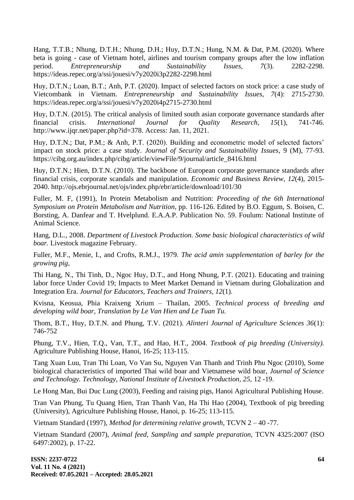Hang, T.T.B.; Nhung, D.T.H.; Nhung, D.H.; Huy, D.T.N.; Hung, N.M. & Dat, P.M. (2020). Where beta is going - case of Vietnam hotel, airlines and tourism company groups after the low inflation period. *Entrepreneurship and Sustainability Issues, 7*(3). 2282-2298. https://ideas.repec.org/a/ssi/jouesi/v7y2020i3p2282-2298.html

Huy, D.T.N.; Loan, B.T.; Anh, P.T. (2020). Impact of selected factors on stock price: a case study of Vietcombank in Vietnam. *Entrepreneurship and Sustainability Issues, 7*(4): 2715-2730. https://ideas.repec.org/a/ssi/jouesi/v7y2020i4p2715-2730.html

Huy, D.T.N. (2015). The critical analysis of limited south asian corporate governance standards after financial crisis. *International Journal for Quality Research, 15*(1), 741-746. http://www.ijqr.net/paper.php?id=378. Access: Jan. 11, 2021.

Huy, D.T.N.; Dat, P.M.; & Anh, P.T. (2020). Building and econometric model of selected factors' impact on stock price: a case study. *Journal of Security and Sustainability Issues,* 9 (M), 77-93. https://cibg.org.au/index.php/cibg/article/viewFile/9/journal/article\_8416.html

Huy, D.T.N.; Hien, D.T.N. (2010). The backbone of European corporate governance standards after financial crisis, corporate scandals and manipulation. *Economic and Business Review, 12*(4), 2015- 2040. http://ojs.ebrjournal.net/ojs/index.php/ebr/article/download/101/30

Fuller, M. F, (1991), In Protein Metabolism and Nutrition: *Proceeding of the 6th International Symposium on Protein Metabolism and Nutrition,* pp. 116-126. Edited by B.O. Eggum, S. Boisen, C. Borsting, A. Danfear and T. Hvelplund. E.A.A.P. Publication No. 59. Foulum: National Institute of Animal Science.

Hang, D.L., 2008. *Department of Livestock Production. Some basic biological characteristics of wild boar.* Livestock magazine February.

Fuller, M.F., Menie, I., and Crofts, R.M.J., 1979. *The acid amin supplementation of barley for the growing pig,*

Thi Hang, N., Thi Tinh, D., Ngoc Huy, D.T., and Hong Nhung, P.T. (2021). Educating and training labor force Under Covid 19; Impacts to Meet Market Demand in Vietnam during Globalization and Integration Era. *Journal for Educators, Teachers and Trainers, 12*(1).

Kvisna, Keosua, Phia Kraixeng Xrium – Thailan, 2005. *Technical process of breeding and developing wild boar, Translation by Le Van Hien and Le Tuan Tu.*

Thom, B.T., Huy, D.T.N. and Phung, T.V. (2021). *Alinteri Journal of Agriculture Sciences 36*(1): 746-752

Phung, T.V., Hien, T.Q., Van, T.T., and Hao, H.T., 2004. *Textbook of pig breeding (University).*  Agriculture Publishing House, Hanoi, 16-25; 113-115.

Tang Xuan Luu, Tran Thi Loan, Vo Van Su, Nguyen Van Thanh and Trinh Phu Ngoc (2010), Some biological characteristics of imported Thai wild boar and Vietnamese wild boar, *Journal of Science and Technology. Technology, National Institute of Livestock Production, 25,* 12 -19.

Le Hong Man, Bui Duc Lung (2003), Feeding and raising pigs, Hanoi Agricultural Publishing House.

Tran Van Phung, Tu Quang Hien, Tran Thanh Van, Ha Thi Hao (2004), Textbook of pig breeding (University), Agriculture Publishing House, Hanoi, p. 16-25; 113-115.

Vietnam Standard (1997), *Method for determining relative growth,* TCVN 2 – 40 -77.

Vietnam Standard (2007), *Animal feed, Sampling and sample preparation,* TCVN 4325:2007 (ISO 6497:2002), p. 17-22.